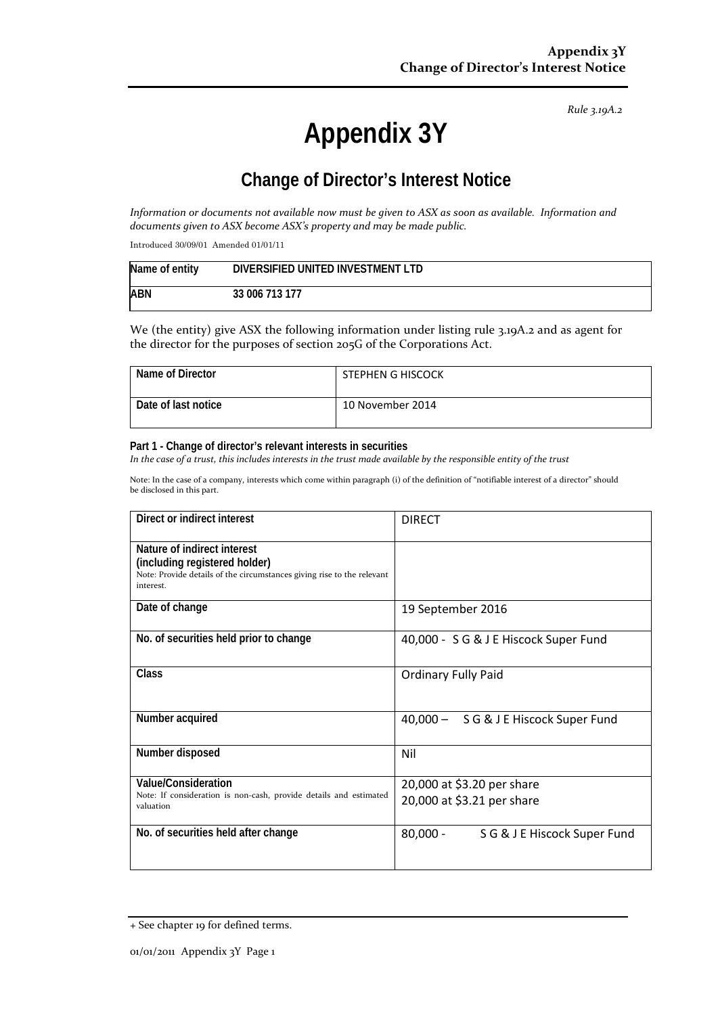*Rule 3.19A.2*

# **Appendix 3Y**

# **Change of Director's Interest Notice**

*Information or documents not available now must be given to ASX as soon as available. Information and documents given to ASX become ASX's property and may be made public.*

Introduced 30/09/01 Amended 01/01/11

| Name of entity | DIVERSIFIED UNITED INVESTMENT LTD |
|----------------|-----------------------------------|
| <b>ABN</b>     | 33 006 713 177                    |

We (the entity) give ASX the following information under listing rule 3.19A.2 and as agent for the director for the purposes of section 205G of the Corporations Act.

| Name of Director    | STEPHEN G HISCOCK |
|---------------------|-------------------|
| Date of last notice | 10 November 2014  |

#### **Part 1 - Change of director's relevant interests in securities**

*In the case of a trust, this includes interests in the trust made available by the responsible entity of the trust*

Note: In the case of a company, interests which come within paragraph (i) of the definition of "notifiable interest of a director" should be disclosed in this part.

| Direct or indirect interest                                                                                                                         | <b>DIRECT</b>                              |
|-----------------------------------------------------------------------------------------------------------------------------------------------------|--------------------------------------------|
| Nature of indirect interest<br>(including registered holder)<br>Note: Provide details of the circumstances giving rise to the relevant<br>interest. |                                            |
| Date of change                                                                                                                                      | 19 September 2016                          |
| No. of securities held prior to change                                                                                                              | 40,000 - S G & J E Hiscock Super Fund      |
| Class                                                                                                                                               | <b>Ordinary Fully Paid</b>                 |
| Number acquired                                                                                                                                     | 40,000 - SG & J E Hiscock Super Fund       |
| Number disposed                                                                                                                                     | Nil                                        |
| Value/Consideration                                                                                                                                 | 20,000 at \$3.20 per share                 |
| Note: If consideration is non-cash, provide details and estimated<br>valuation                                                                      | 20,000 at \$3.21 per share                 |
| No. of securities held after change                                                                                                                 | $80,000 -$<br>S G & J E Hiscock Super Fund |

<sup>+</sup> See chapter 19 for defined terms.